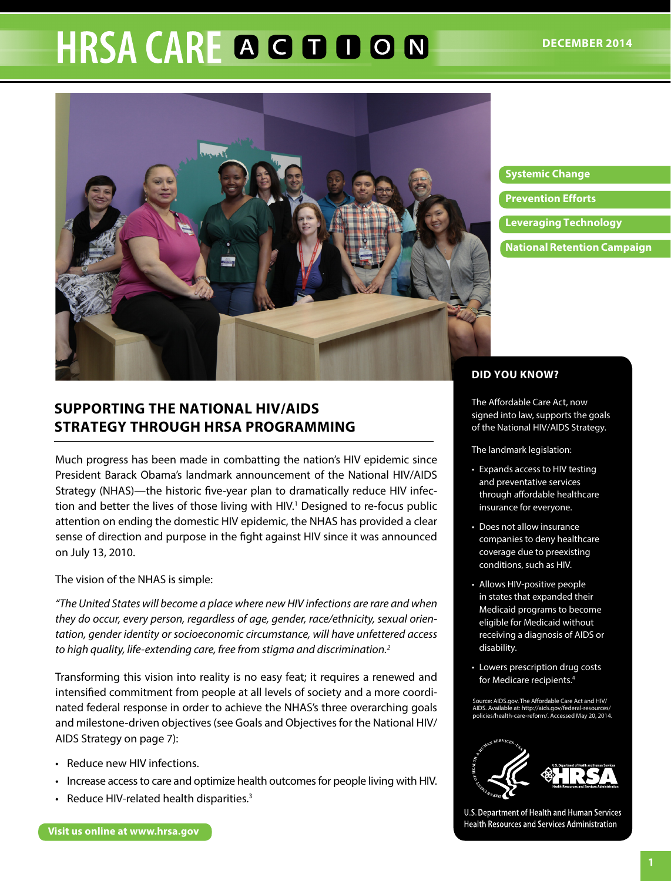# **HRSA CARE A G D D O N**



#### **Systemic Change**

**Prevention Efforts** 

- **Leveraging Technology**
- **National Retention Campaign**

# **SUPPORTING THE NATIONAL HIV/AIDS STRATEGY THROUGH HRSA PROGRAMMING**

Much progress has been made in combatting the nation's HIV epidemic since President Barack Obama's landmark announcement of the National HIV/AIDS Strategy (NHAS)—the historic five-year plan to dramatically reduce HIV infection and better the lives of those living with HIV.<sup>1</sup> Designed to re-focus public attention on ending the domestic HIV epidemic, the NHAS has provided a clear sense of direction and purpose in the fight against HIV since it was announced on July 13, 2010.

The vision of the NHAS is simple:

*"The United States will become a place where new HIV infections are rare and when they do occur, every person, regardless of age, gender, race/ethnicity, sexual orientation, gender identity or socioeconomic circumstance, will have unfettered access to high quality, life-extending care, free from stigma and discrimination.2*

Transforming this vision into reality is no easy feat; it requires a renewed and intensified commitment from people at all levels of society and a more coordinated federal response in order to achieve the NHAS's three overarching goals and milestone-driven objectives (see Goals and Objectives for the National HIV/ AIDS Strategy on page 7):

- Reduce new HIV infections.
- Increase access to care and optimize health outcomes for people living with HIV.
- Reduce HIV-related health disparities.<sup>3</sup>

#### **DID YOU KNOW?**

The Affordable Care Act, now signed into law, supports the goals of the National HIV/AIDS Strategy.

The landmark legislation:

- Expands access to HIV testing and preventative services through affordable healthcare insurance for everyone.
- Does not allow insurance companies to deny healthcare coverage due to preexisting conditions, such as HIV.
- Allows HIV-positive people in states that expanded their Medicaid programs to become eligible for Medicaid without receiving a diagnosis of AIDS or disability.
- Lowers prescription drug costs for Medicare recipients.4

Source: AIDS.gov. The Affordable Care Act and HIV/ [AIDS. Available at: http://aids.gov/federal-resources/](http://aids.gov/federal-resources/policies/health-care-reform/) policies/health-care-reform/. Accessed May 20, 2014.



U.S. Department of Health and Human Services Health Resources and Services Administration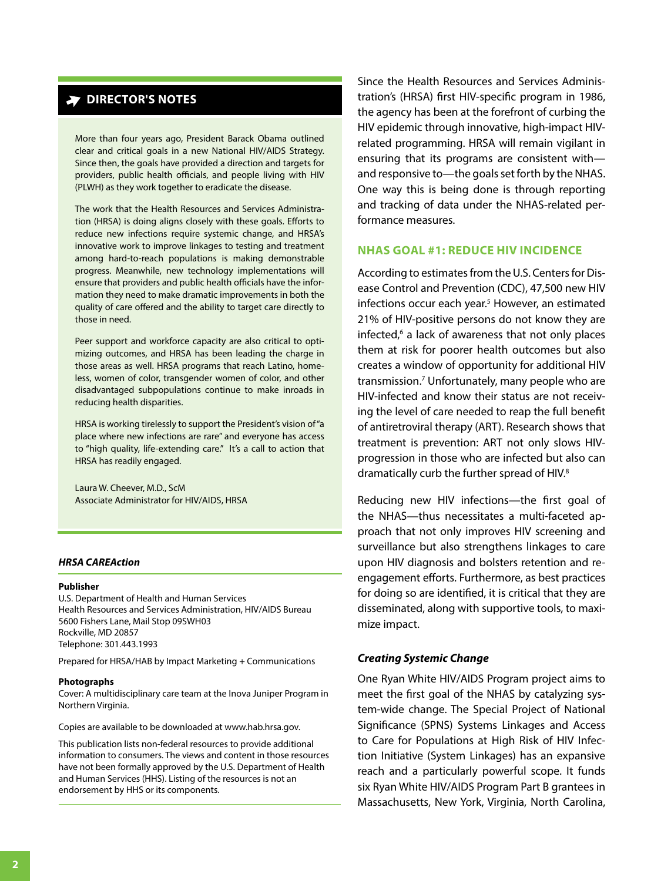# **DIRECTOR'S NOTES**

More than four years ago, President Barack Obama outlined clear and critical goals in a new National HIV/AIDS Strategy. Since then, the goals have provided a direction and targets for providers, public health officials, and people living with HIV (PLWH) as they work together to eradicate the disease.

The work that the Health Resources and Services Administration (HRSA) is doing aligns closely with these goals. Efforts to reduce new infections require systemic change, and HRSA's innovative work to improve linkages to testing and treatment among hard-to-reach populations is making demonstrable progress. Meanwhile, new technology implementations will ensure that providers and public health officials have the information they need to make dramatic improvements in both the quality of care offered and the ability to target care directly to those in need.

Peer support and workforce capacity are also critical to optimizing outcomes, and HRSA has been leading the charge in those areas as well. HRSA programs that reach Latino, homeless, women of color, transgender women of color, and other disadvantaged subpopulations continue to make inroads in reducing health disparities.

HRSA is working tirelessly to support the President's vision of "a place where new infections are rare" and everyone has access to "high quality, life-extending care." It's a call to action that HRSA has readily engaged.

Laura W. Cheever, M.D., ScM Associate Administrator for HIV/AIDS, HRSA

#### *HRSA CAREAction*

#### **Publisher**

U.S. Department of Health and Human Services Health Resources and Services Administration, HIV/AIDS Bureau 5600 Fishers Lane, Mail Stop 09SWH03 Rockville, MD 20857 Telephone: 301.443.1993

Prepared for HRSA/HAB by Impact Marketing + Communications

#### Photographs

Cover: A multidisciplinary care team at the Inova Juniper Program in Northern Virginia.

Copies are available to be downloaded at www.hab.hrsa.gov.

This publication lists non-federal resources to provide additional information to consumers. The views and content in those resources have not been formally approved by the U.S. Department of Health and Human Services (HHS). Listing of the resources is not an endorsement by HHS or its components.

Since the Health Resources and Services Administration's (HRSA) first HIV-specific program in 1986, the agency has been at the forefront of curbing the HIV epidemic through innovative, high-impact HIVrelated programming. HRSA will remain vigilant in ensuring that its programs are consistent with and responsive to—the goals set forth by the NHAS. One way this is being done is through reporting and tracking of data under the NHAS-related performance measures.

#### **NHAS GOAL #1: REDUCE HIV INCIDENCE**

According to estimates from the U.S. Centers for Disease Control and Prevention (CDC), 47,500 new HIV infections occur each year.<sup>5</sup> However, an estimated 21% of HIV-positive persons do not know they are infected,6 a lack of awareness that not only places them at risk for poorer health outcomes but also creates a window of opportunity for additional HIV transmission.7 Unfortunately, many people who are HIV-infected and know their status are not receiving the level of care needed to reap the full benefit of antiretroviral therapy (ART). Research shows that treatment is prevention: ART not only slows HIVprogression in those who are infected but also can dramatically curb the further spread of HIV.8

Reducing new HIV infections—the first goal of the NHAS—thus necessitates a multi-faceted approach that not only improves HIV screening and surveillance but also strengthens linkages to care upon HIV diagnosis and bolsters retention and reengagement efforts. Furthermore, as best practices for doing so are identified, it is critical that they are disseminated, along with supportive tools, to maximize impact.

#### *Creating Systemic Change*

One Ryan White HIV/AIDS Program project aims to meet the first goal of the NHAS by catalyzing system-wide change. The Special Project of National Significance (SPNS) Systems Linkages and Access to Care for Populations at High Risk of HIV Infection Initiative (System Linkages) has an expansive reach and a particularly powerful scope. It funds six Ryan White HIV/AIDS Program Part B grantees in Massachusetts, New York, Virginia, North Carolina,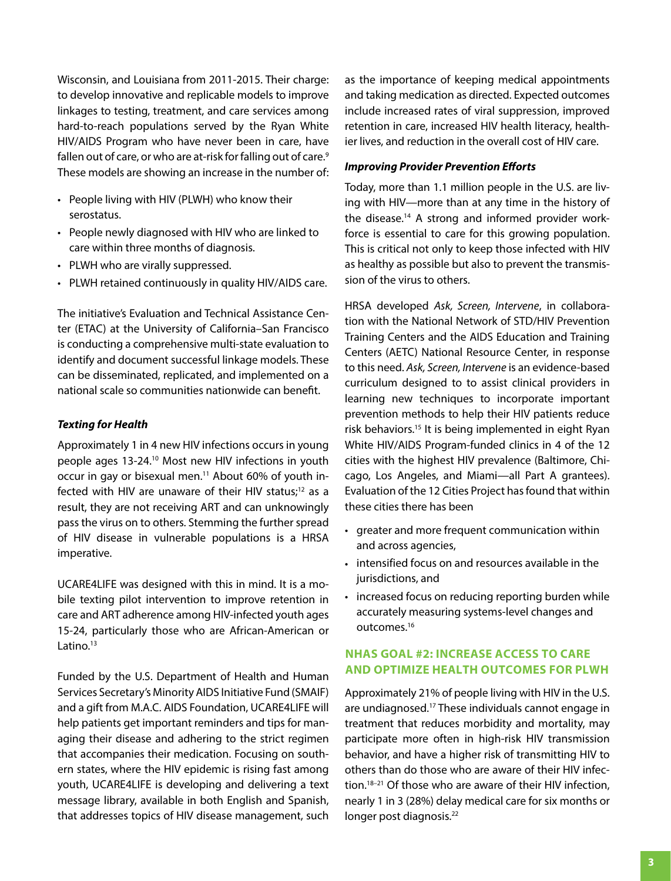Wisconsin, and Louisiana from 2011-2015. Their charge: to develop innovative and replicable models to improve linkages to testing, treatment, and care services among hard-to-reach populations served by the Ryan White HIV/AIDS Program who have never been in care, have fallen out of care, or who are at-risk for falling out of care.<sup>9</sup> These models are showing an increase in the number of:

- People living with HIV (PLWH) who know their serostatus.
- People newly diagnosed with HIV who are linked to care within three months of diagnosis.
- PLWH who are virally suppressed.
- PLWH retained continuously in quality HIV/AIDS care.

The initiative's Evaluation and Technical Assistance Center (ETAC) at the University of California–San Francisco is conducting a comprehensive multi-state evaluation to identify and document successful linkage models. These can be disseminated, replicated, and implemented on a national scale so communities nationwide can benefit.

#### *Texting for Health*

Approximately 1 in 4 new HIV infections occurs in young people ages 13-24.10 Most new HIV infections in youth occur in gay or bisexual men.<sup>11</sup> About 60% of youth infected with HIV are unaware of their HIV status; $12$  as a result, they are not receiving ART and can unknowingly pass the virus on to others. Stemming the further spread of HIV disease in vulnerable populations is a HRSA imperative.

UCARE4LIFE was designed with this in mind. It is a mobile texting pilot intervention to improve retention in care and ART adherence among HIV-infected youth ages 15-24, particularly those who are African-American or Latino.<sup>13</sup>

Funded by the U.S. Department of Health and Human Services Secretary's Minority AIDS Initiative Fund (SMAIF) and a gift from M.A.C. AIDS Foundation, UCARE4LIFE will help patients get important reminders and tips for managing their disease and adhering to the strict regimen that accompanies their medication. Focusing on southern states, where the HIV epidemic is rising fast among youth, UCARE4LIFE is developing and delivering a text message library, available in both English and Spanish, that addresses topics of HIV disease management, such

as the importance of keeping medical appointments and taking medication as directed. Expected outcomes include increased rates of viral suppression, improved retention in care, increased HIV health literacy, healthier lives, and reduction in the overall cost of HIV care.

#### *Improving Provider Prevention Efforts*

Today, more than 1.1 million people in the U.S. are living with HIV—more than at any time in the history of the disease.<sup>14</sup> A strong and informed provider workforce is essential to care for this growing population. This is critical not only to keep those infected with HIV as healthy as possible but also to prevent the transmission of the virus to others.

HRSA developed *Ask, Screen, Intervene*, in collaboration with the National Network of STD/HIV Prevention Training Centers and the AIDS Education and Training Centers (AETC) National Resource Center, in response to this need. *Ask, Screen, Intervene* is an evidence-based curriculum designed to to assist clinical providers in learning new techniques to incorporate important prevention methods to help their HIV patients reduce risk behaviors.15 It is being implemented in eight Ryan White HIV/AIDS Program-funded clinics in 4 of the 12 cities with the highest HIV prevalence (Baltimore, Chicago, Los Angeles, and Miami—all Part A grantees). Evaluation of the 12 Cities Project has found that within these cities there has been

- greater and more frequent communication within and across agencies,
- intensified focus on and resources available in the jurisdictions, and
- increased focus on reducing reporting burden while accurately measuring systems-level changes and outcomes.16

### **NHAS GOAL #2: INCREASE ACCESS TO CARE AND OPTIMIZE HEALTH OUTCOMES FOR PLWH**

Approximately 21% of people living with HIV in the U.S. are undiagnosed.17 These individuals cannot engage in treatment that reduces morbidity and mortality, may participate more often in high-risk HIV transmission behavior, and have a higher risk of transmitting HIV to others than do those who are aware of their HIV infection.18–21 Of those who are aware of their HIV infection, nearly 1 in 3 (28%) delay medical care for six months or longer post diagnosis.<sup>22</sup>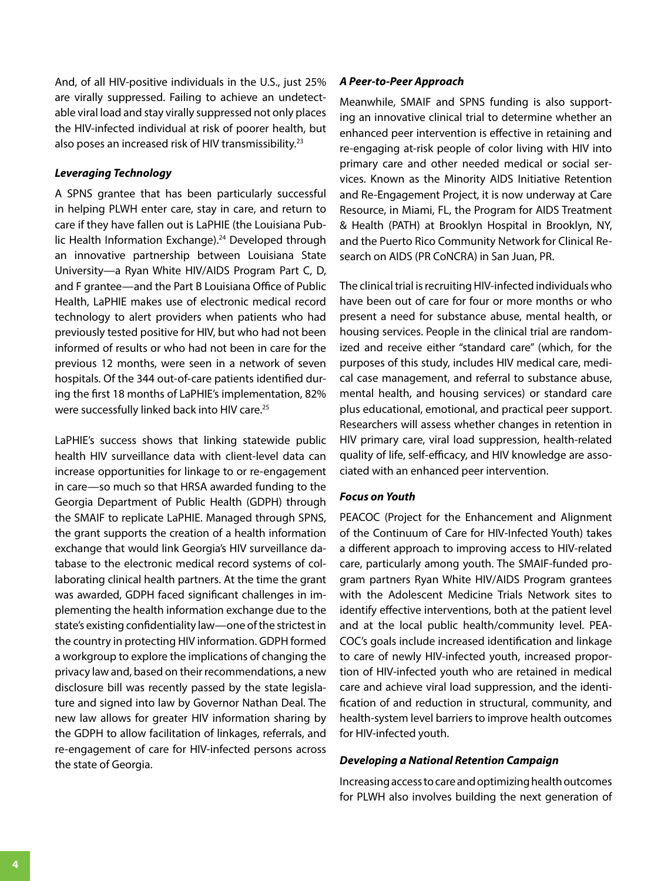And, of all HIV-positive individuals in the U.S., just 25% are virally suppressed. Failing to achieve an undetectable viral load and stay virally suppressed not only places the HIV-infected individual at risk of poorer health, but also poses an increased risk of HIV transmissibility.<sup>23</sup>

#### *Leveraging Technology*

A SPNS grantee that has been particularly successful in helping PLWH enter care, stay in care, and return to care if they have fallen out is LaPHIE (the Louisiana Public Health Information Exchange).<sup>24</sup> Developed through an innovative partnership between Louisiana State University—a Ryan White HIV/AIDS Program Part C, D, and F grantee—and the Part B Louisiana Office of Public Health, LaPHIE makes use of electronic medical record technology to alert providers when patients who had previously tested positive for HIV, but who had not been informed of results or who had not been in care for the previous 12 months, were seen in a network of seven hospitals. Of the 344 out-of-care patients identified during the first 18 months of LaPHIE's implementation, 82% were successfully linked back into HIV care.25

LaPHIE's success shows that linking statewide public health HIV surveillance data with client-level data can increase opportunities for linkage to or re-engagement in care—so much so that HRSA awarded funding to the Georgia Department of Public Health (GDPH) through the SMAIF to replicate LaPHIE. Managed through SPNS, the grant supports the creation of a health information exchange that would link Georgia's HIV surveillance database to the electronic medical record systems of collaborating clinical health partners. At the time the grant was awarded, GDPH faced significant challenges in implementing the health information exchange due to the state's existing confidentiality law—one of the strictest in the country in protecting HIV information. GDPH formed a workgroup to explore the implications of changing the privacy law and, based on their recommendations, a new disclosure bill was recently passed by the state legislature and signed into law by Governor Nathan Deal. The new law allows for greater HIV information sharing by the GDPH to allow facilitation of linkages, referrals, and re-engagement of care for HIV-infected persons across the state of Georgia.

#### *A Peer-to-Peer Approach*

Meanwhile, SMAIF and SPNS funding is also supporting an innovative clinical trial to determine whether an enhanced peer intervention is effective in retaining and re-engaging at-risk people of color living with HIV into primary care and other needed medical or social services. Known as the Minority AIDS Initiative Retention and Re-Engagement Project, it is now underway at Care Resource, in Miami, FL, the Program for AIDS Treatment & Health (PATH) at Brooklyn Hospital in Brooklyn, NY, and the Puerto Rico Community Network for Clinical Research on AIDS (PR CoNCRA) in San Juan, PR.

The clinical trial is recruiting HIV-infected individuals who have been out of care for four or more months or who present a need for substance abuse, mental health, or housing services. People in the clinical trial are randomized and receive either "standard care" (which, for the purposes of this study, includes HIV medical care, medical case management, and referral to substance abuse, mental health, and housing services) or standard care plus educational, emotional, and practical peer support. Researchers will assess whether changes in retention in HIV primary care, viral load suppression, health-related quality of life, self-efficacy, and HIV knowledge are associated with an enhanced peer intervention.

#### *Focus on Youth*

PEACOC (Project for the Enhancement and Alignment of the Continuum of Care for HIV-Infected Youth) takes a different approach to improving access to HIV-related care, particularly among youth. The SMAIF-funded program partners Ryan White HIV/AIDS Program grantees with the Adolescent Medicine Trials Network sites to identify effective interventions, both at the patient level and at the local public health/community level. PEA-COC's goals include increased identification and linkage to care of newly HIV-infected youth, increased proportion of HIV-infected youth who are retained in medical care and achieve viral load suppression, and the identification of and reduction in structural, community, and health-system level barriers to improve health outcomes for HIV-infected youth.

#### *Developing a National Retention Campaign*

Increasing access to care and optimizing health outcomes for PLWH also involves building the next generation of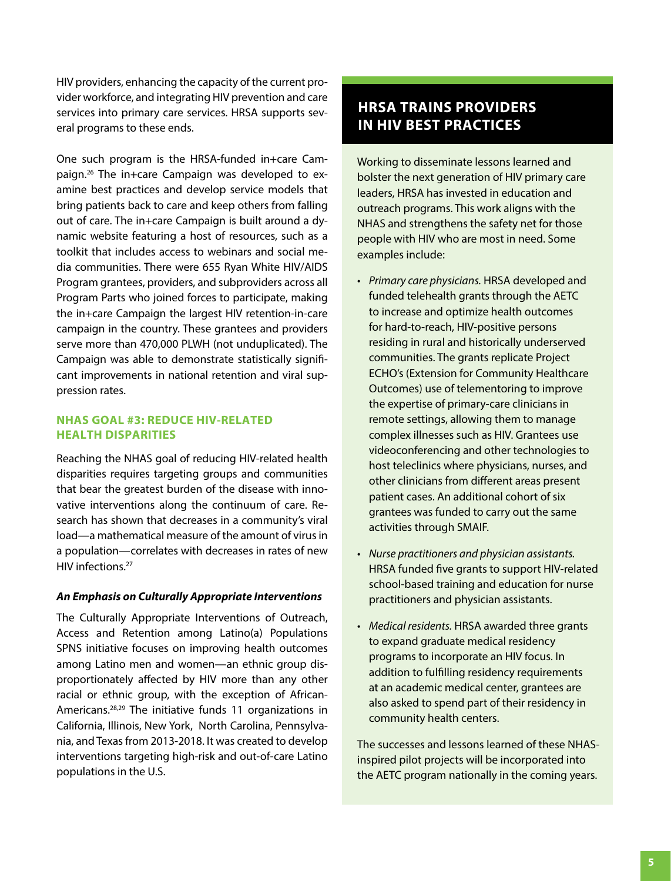HIV providers, enhancing the capacity of the current provider workforce, and integrating HIV prevention and care services into primary care services. HRSA supports several programs to these ends.

One such program is the HRSA-funded in+care Campaign.<sup>26</sup> The in+care Campaign was developed to examine best practices and develop service models that bring patients back to care and keep others from falling out of care. The in+care Campaign is built around a dynamic website featuring a host of resources, such as a toolkit that includes access to webinars and social media communities. There were 655 Ryan White HIV/AIDS Program grantees, providers, and subproviders across all Program Parts who joined forces to participate, making the in+care Campaign the largest HIV retention-in-care campaign in the country. These grantees and providers serve more than 470,000 PLWH (not unduplicated). The Campaign was able to demonstrate statistically significant improvements in national retention and viral suppression rates.

#### **NHAS GOAL #3: REDUCE HIV-RELATED HEALTH DISPARITIES**

Reaching the NHAS goal of reducing HIV-related health disparities requires targeting groups and communities that bear the greatest burden of the disease with innovative interventions along the continuum of care. Research has shown that decreases in a community's viral load—a mathematical measure of the amount of virus in a population—correlates with decreases in rates of new HIV infections.<sup>27</sup>

#### *An Emphasis on Culturally Appropriate Interventions*

The Culturally Appropriate Interventions of Outreach, Access and Retention among Latino(a) Populations SPNS initiative focuses on improving health outcomes among Latino men and women—an ethnic group disproportionately affected by HIV more than any other racial or ethnic group, with the exception of African-Americans.28,29 The initiative funds 11 organizations in California, Illinois, New York, North Carolina, Pennsylvania, and Texas from 2013-2018. It was created to develop interventions targeting high-risk and out-of-care Latino populations in the U.S.

# **HRSA TRAINS PROVIDERS IN HIV BEST PRACTICES**

Working to disseminate lessons learned and bolster the next generation of HIV primary care leaders, HRSA has invested in education and outreach programs. This work aligns with the NHAS and strengthens the safety net for those people with HIV who are most in need. Some examples include:

- *Primary care physicians.* HRSA developed and funded telehealth grants through the AETC to increase and optimize health outcomes for hard-to-reach, HIV-positive persons residing in rural and historically underserved communities. The grants replicate Project ECHO's (Extension for Community Healthcare Outcomes) use of telementoring to improve the expertise of primary-care clinicians in remote settings, allowing them to manage complex illnesses such as HIV. Grantees use videoconferencing and other technologies to host teleclinics where physicians, nurses, and other clinicians from different areas present patient cases. An additional cohort of six grantees was funded to carry out the same activities through SMAIF.
- *Nurse practitioners and physician assistants.* HRSA funded five grants to support HIV-related school-based training and education for nurse practitioners and physician assistants.
- *Medical residents.* HRSA awarded three grants to expand graduate medical residency programs to incorporate an HIV focus. In addition to fulfilling residency requirements at an academic medical center, grantees are also asked to spend part of their residency in community health centers.

The successes and lessons learned of these NHASinspired pilot projects will be incorporated into the AETC program nationally in the coming years.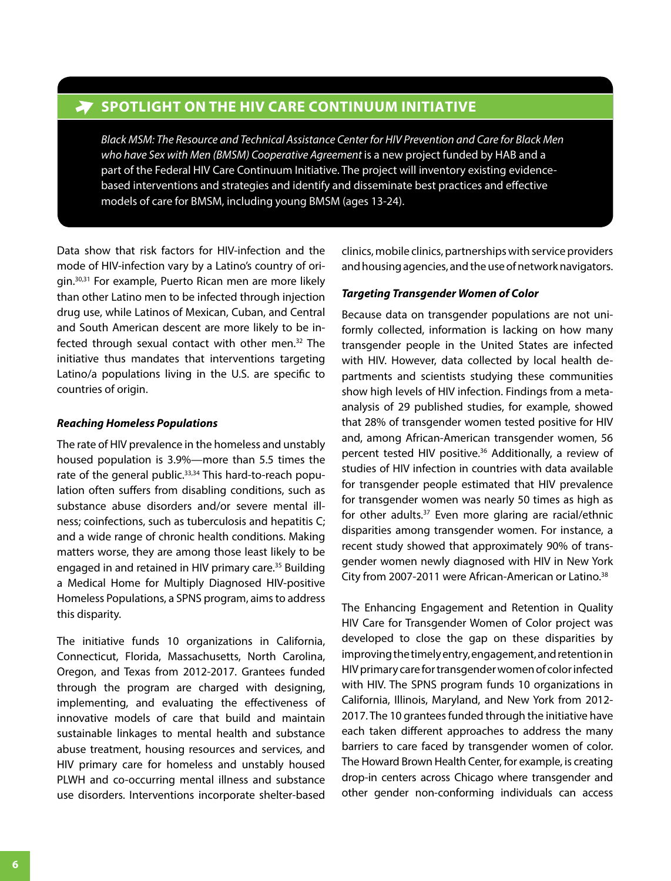## **Spotlight on the HIV Care Continuum Initiative**

*Black MSM: The Resource and Technical Assistance Center for HIV Prevention and Care for Black Men who have Sex with Men (BMSM) Cooperative Agreement* is a new project funded by HAB and a part of the Federal HIV Care Continuum Initiative. The project will inventory existing evidencebased interventions and strategies and identify and disseminate best practices and effective models of care for BMSM, including young BMSM (ages 13-24).

Data show that risk factors for HIV-infection and the mode of HIV-infection vary by a Latino's country of origin.30,31 For example, Puerto Rican men are more likely than other Latino men to be infected through injection drug use, while Latinos of Mexican, Cuban, and Central and South American descent are more likely to be infected through sexual contact with other men.32 The initiative thus mandates that interventions targeting Latino/a populations living in the U.S. are specific to countries of origin.

#### *Reaching Homeless Populations*

The rate of HIV prevalence in the homeless and unstably housed population is 3.9%—more than 5.5 times the rate of the general public.<sup>33,34</sup> This hard-to-reach population often suffers from disabling conditions, such as substance abuse disorders and/or severe mental illness; coinfections, such as tuberculosis and hepatitis C; and a wide range of chronic health conditions. Making matters worse, they are among those least likely to be engaged in and retained in HIV primary care.<sup>35</sup> Building a Medical Home for Multiply Diagnosed HIV-positive Homeless Populations, a SPNS program, aims to address this disparity.

The initiative funds 10 organizations in California, Connecticut, Florida, Massachusetts, North Carolina, Oregon, and Texas from 2012-2017. Grantees funded through the program are charged with designing, implementing, and evaluating the effectiveness of innovative models of care that build and maintain sustainable linkages to mental health and substance abuse treatment, housing resources and services, and HIV primary care for homeless and unstably housed PLWH and co-occurring mental illness and substance use disorders. Interventions incorporate shelter-based

clinics, mobile clinics, partnerships with service providers and housing agencies, and the use of network navigators.

#### *Targeting Transgender Women of Color*

Because data on transgender populations are not uniformly collected, information is lacking on how many transgender people in the United States are infected with HIV. However, data collected by local health departments and scientists studying these communities show high levels of HIV infection. Findings from a metaanalysis of 29 published studies, for example, showed that 28% of transgender women tested positive for HIV and, among African-American transgender women, 56 percent tested HIV positive.<sup>36</sup> Additionally, a review of studies of HIV infection in countries with data available for transgender people estimated that HIV prevalence for transgender women was nearly 50 times as high as for other adults.<sup>37</sup> Even more glaring are racial/ethnic disparities among transgender women. For instance, a recent study showed that approximately 90% of transgender women newly diagnosed with HIV in New York City from 2007-2011 were African-American or Latino.<sup>38</sup>

The Enhancing Engagement and Retention in Quality HIV Care for Transgender Women of Color project was developed to close the gap on these disparities by improving the timely entry, engagement, and retention in HIV primary care for transgender women of color infected with HIV. The SPNS program funds 10 organizations in California, Illinois, Maryland, and New York from 2012- 2017. The 10 grantees funded through the initiative have each taken different approaches to address the many barriers to care faced by transgender women of color. The Howard Brown Health Center, for example, is creating drop-in centers across Chicago where transgender and other gender non-conforming individuals can access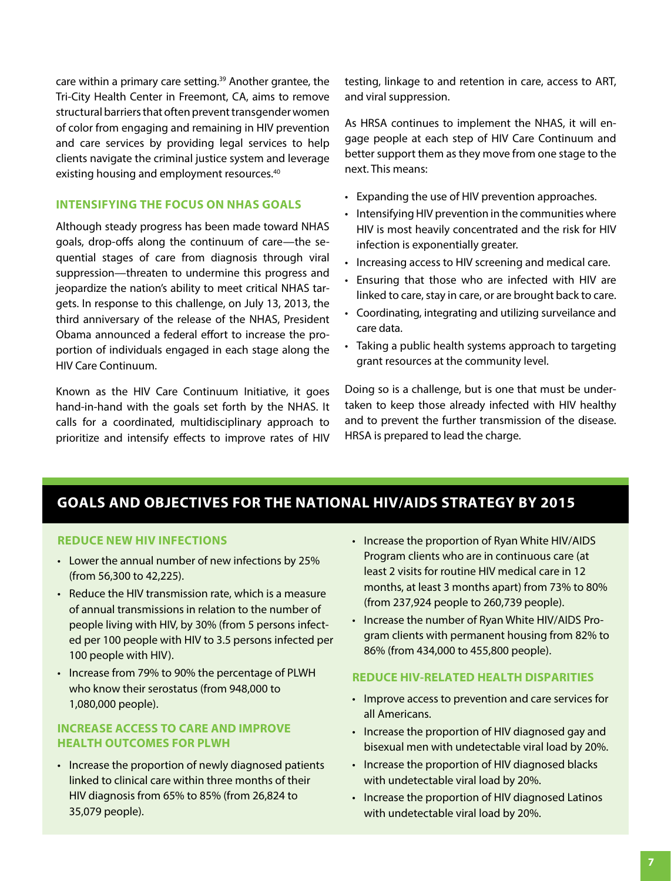care within a primary care setting.<sup>39</sup> Another grantee, the Tri-City Health Center in Freemont, CA, aims to remove structural barriers that often prevent transgender women of color from engaging and remaining in HIV prevention and care services by providing legal services to help clients navigate the criminal justice system and leverage existing housing and employment resources.<sup>40</sup>

#### **INTENSIFYING THE FOCUS ON NHAS GOALS**

Although steady progress has been made toward NHAS goals, drop-offs along the continuum of care—the sequential stages of care from diagnosis through viral suppression—threaten to undermine this progress and jeopardize the nation's ability to meet critical NHAS targets. In response to this challenge, on July 13, 2013, the third anniversary of the release of the NHAS, President Obama announced a federal effort to increase the proportion of individuals engaged in each stage along the HIV Care Continuum.

Known as the HIV Care Continuum Initiative, it goes hand-in-hand with the goals set forth by the NHAS. It calls for a coordinated, multidisciplinary approach to prioritize and intensify effects to improve rates of HIV testing, linkage to and retention in care, access to ART, and viral suppression.

As HRSA continues to implement the NHAS, it will engage people at each step of HIV Care Continuum and better support them as they move from one stage to the next. This means:

- Expanding the use of HIV prevention approaches.
- Intensifying HIV prevention in the communities where HIV is most heavily concentrated and the risk for HIV infection is exponentially greater.
- Increasing access to HIV screening and medical care.
- Ensuring that those who are infected with HIV are linked to care, stay in care, or are brought back to care.
- Coordinating, integrating and utilizing surveilance and care data.
- Taking a public health systems approach to targeting grant resources at the community level.

Doing so is a challenge, but is one that must be undertaken to keep those already infected with HIV healthy and to prevent the further transmission of the disease. HRSA is prepared to lead the charge.

# **GOALS AND OBJECTIVES FOR THE NATIONAL HIV/AIDS STRATEGY BY 2015**

#### **REDUCE NEW HIV INFECTIONS**

- Lower the annual number of new infections by 25% (from 56,300 to 42,225).
- Reduce the HIV transmission rate, which is a measure of annual transmissions in relation to the number of people living with HIV, by 30% (from 5 persons infected per 100 people with HIV to 3.5 persons infected per 100 people with HIV).
- Increase from 79% to 90% the percentage of PLWH who know their serostatus (from 948,000 to 1,080,000 people).

### **INCREASE ACCESS TO CARE AND IMPROVE HEALTH OUTCOMES FOR PLWH**

• Increase the proportion of newly diagnosed patients linked to clinical care within three months of their HIV diagnosis from 65% to 85% (from 26,824 to 35,079 people).

- Increase the proportion of Ryan White HIV/AIDS Program clients who are in continuous care (at least 2 visits for routine HIV medical care in 12 months, at least 3 months apart) from 73% to 80% (from 237,924 people to 260,739 people).
- Increase the number of Ryan White HIV/AIDS Program clients with permanent housing from 82% to 86% (from 434,000 to 455,800 people).

#### **REDUCE HIV-RELATED HEALTH DISPARITIES**

- Improve access to prevention and care services for all Americans.
- Increase the proportion of HIV diagnosed gay and bisexual men with undetectable viral load by 20%.
- Increase the proportion of HIV diagnosed blacks with undetectable viral load by 20%.
- Increase the proportion of HIV diagnosed Latinos with undetectable viral load by 20%.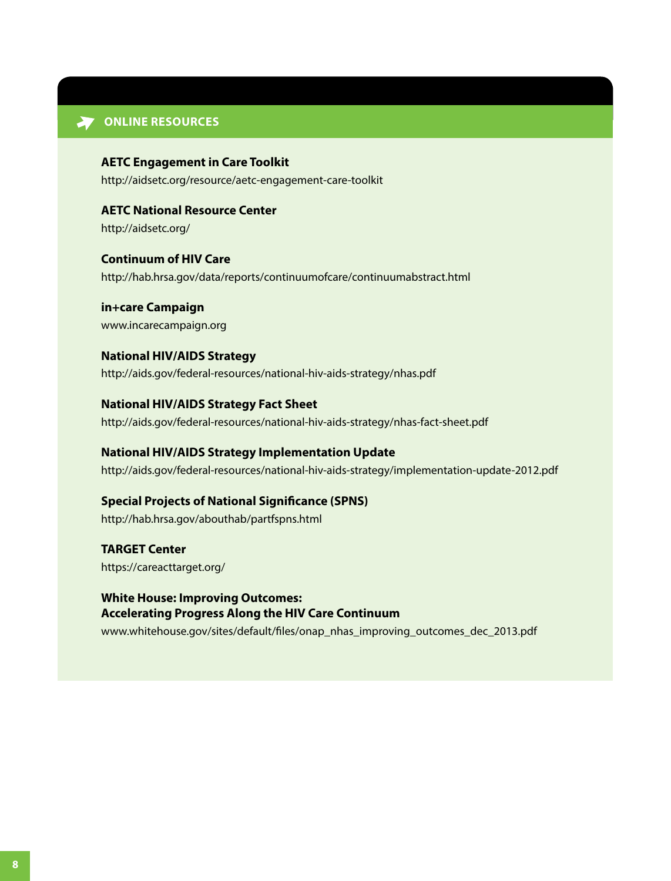#### **W** ONLINE RESOURCES

**AETC Engagement in Care Toolkit** <http://aidsetc.org/resource/aetc-engagement-care-toolkit>

<http://aidsetc.org/> **AETC National Resource Center**

<http://hab.hrsa.gov/data/reports/continuumofcare/continuumabstract.html> **Continuum of HIV Care**

<www.incarecampaign.org> **in+care Campaign**

**National HIV/AIDS Strategy** <http://aids.gov/federal-resources/national-hiv-aids-strategy/nhas.pdf>

<http://aids.gov/federal-resources/national-hiv-aids-strategy/nhas-fact-sheet.pdf> **National HIV/AIDS Strategy Fact Sheet**

<http://aids.gov/federal-resources/national-hiv-aids-strategy/implementation-update-2012.pdf> **National HIV/AIDS Strategy Implementation Update**

<http://hab.hrsa.gov/abouthab/partfspns.html> **Special Projects of National Significance (SPNS)**

<https://careacttarget.org/> **TARGET Center**

[www.whitehouse.gov/sites/default/files/onap\\_nhas\\_improving\\_outcomes\\_dec\\_2013.pdf](www.whitehouse.gov/sites/default/files/onap_nhas_improving_outcomes_dec_2013.pdf)  **White House: Improving Outcomes: Accelerating Progress Along the HIV Care Continuum**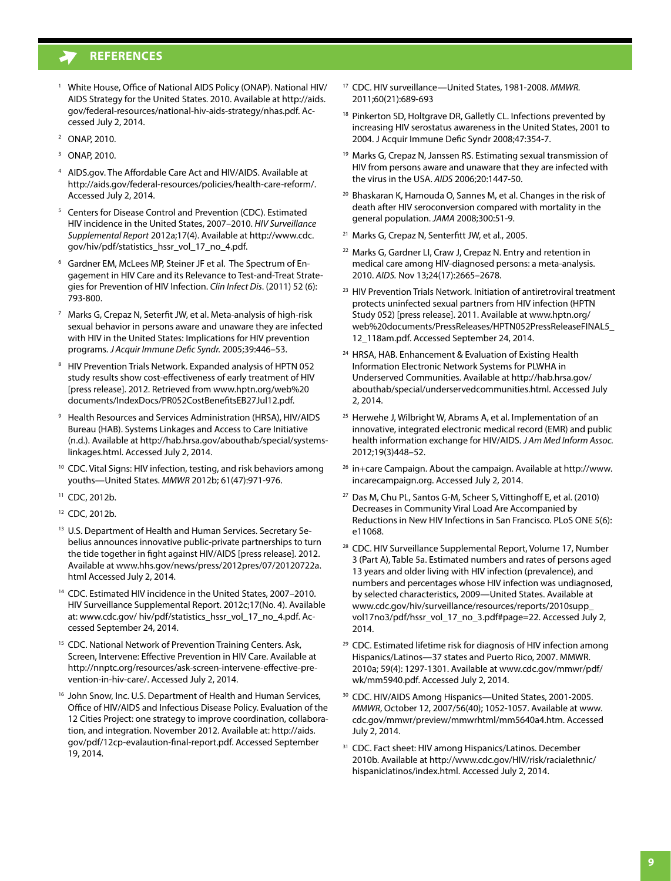## **References**

- <sup>1</sup> White House, Office of National AIDS Policy (ONAP). National HIV/ [AIDS Strategy for the United States. 2010. Available at http://aids.](http://aids.gov/federal-resources/national-hiv-aids-strategy/nhas.pdf) gov/federal-resources/national-hiv-aids-strategy/nhas.pdf. Accessed July 2, 2014.
- 2 ONAP, 2010.
- 3 ONAP, 2010.
- 4 AIDS.gov. The Affordable Care Act and HIV/AIDS. Available at http://aids.gov/federal-resources/policies/health-care-reform/. Accessed July 2, 2014.
- 5 Centers for Disease Control and Prevention (CDC). Estimated HIV incidence in the United States, 2007–2010. *HIV Surveillance Supplemental Report* 2012a;17(4). Available at http://www.cdc. [gov/hiv/pdf/statistics\\_hssr\\_vol\\_17\\_no\\_4.pdf.](http://www.cdc.gov/hiv/pdf/statistics_hssr_vol_17_no_4.pdf)
- 6 Gardner EM, McLees MP, Steiner JF et al. The Spectrum of Engagement in HIV Care and its Relevance to Test-and-Treat Strategies for Prevention of HIV Infection. *Clin Infect Dis*. (2011) 52 (6): 793-800.
- 7 Marks G, Crepaz N, Seterfit JW, et al. Meta-analysis of high-risk sexual behavior in persons aware and unaware they are infected with HIV in the United States: Implications for HIV prevention programs. *J Acquir Immune Defic Syndr.* 2005;39:446–53.
- 8 HIV Prevention Trials Network. Expanded analysis of HPTN 052 study results show cost-effectiveness of early treatment of HIV [\[press release\]. 2012. Retrieved from www.hptn.org/web%20](www.hptn.org/web%20documents/IndexDocs/PR052CostBenefitsEB27Jul12.pdf) documents/IndexDocs/PR052CostBenefitsEB27Jul12.pdf.
- 9 Health Resources and Services Administration (HRSA), HIV/AIDS Bureau (HAB). Systems Linkages and Access to Care Initiative [\(n.d.\). Available at http://hab.hrsa.gov/abouthab/special/systems](http://hab.hrsa.gov/abouthab/special/systemslinkages.html)linkages.html. Accessed July 2, 2014.
- <sup>10</sup> CDC. Vital Signs: HIV infection, testing, and risk behaviors among youths—United States. *MMWR* 2012b; 61(47):971-976.
- 11 CDC, 2012b.
- 12 CDC, 2012b.
- <sup>13</sup> U.S. Department of Health and Human Services. Secretary Sebelius announces innovative public-private partnerships to turn the tide together in fight against HIV/AIDS [press release]. 2012. [Available at www.hhs.gov/news/press/2012pres/07/20120722a.](www.hhs.gov/news/press/2012pres/07/20120722a.html) html Accessed July 2, 2014.
- 14 CDC. Estimated HIV incidence in the United States, 2007–2010. HIV Surveillance Supplemental Report. 2012c;17(No. 4). Available at: [www.cdc.gov/ hiv/pdf/statistics\\_hssr\\_vol\\_17\\_no\\_4.pdf.](www.cdc.gov/hiv/pdf/statistics_hssr_vol_17_no_4.pdf) Accessed September 24, 2014.
- <sup>15</sup> CDC. National Network of Prevention Training Centers. Ask, Screen, Intervene: Effective Prevention in HIV Care. Available at [http://nnptc.org/resources/ask-screen-intervene-effective-pre](http://nnptc.org/resources/ask-screen-intervene-effective-prevention-in-hiv-care/)vention-in-hiv-care/. Accessed July 2, 2014.
- <sup>16</sup> John Snow, Inc. U.S. Department of Health and Human Services, Office of HIV/AIDS and Infectious Disease Policy. Evaluation of the 12 Cities Project: one strategy to improve coordination, collaboration, and integration. November 2012. Available at: http://aids. [gov/pdf/12cp-evalaution-final-report.pdf. Accessed September](http://aids. gov/pdf/12cp-evalaution-final-report.pdf)  19, 2014.
- 17 CDC. HIV surveillance—United States, 1981-2008. *MMWR.* 2011;60(21):689-693
- <sup>18</sup> Pinkerton SD, Holtgrave DR, Galletly CL. Infections prevented by increasing HIV serostatus awareness in the United States, 2001 to 2004. J Acquir Immune Defic Syndr 2008;47:354-7.
- <sup>19</sup> Marks G, Crepaz N, Janssen RS. Estimating sexual transmission of HIV from persons aware and unaware that they are infected with the virus in the USA. *AIDS* 2006;20:1447-50.
- 20 Bhaskaran K, Hamouda O, Sannes M, et al. Changes in the risk of death after HIV seroconversion compared with mortality in the general population. *JAMA* 2008;300:51-9.
- 21 Marks G, Crepaz N, Senterfitt JW, et al., 2005.
- <sup>22</sup> Marks G, Gardner LI, Craw J, Crepaz N. Entry and retention in medical care among HIV-diagnosed persons: a meta-analysis. 2010. *AIDS.* Nov 13;24(17):2665–2678.
- <sup>23</sup> HIV Prevention Trials Network. Initiation of antiretroviral treatment protects uninfected sexual partners from HIV infection (HPTN Study 052) [press release]. 2011. Available at www.hptn.org/ [web%20documents/PressReleases/HPTN052PressReleaseFINAL5\\_](www.hptn.org/web%20documents/PressReleases/HPTN052PressReleaseFINAL5_12_118am.pdf) 12\_118am.pdf. Accessed September 24, 2014.
- 24 HRSA, HAB. Enhancement & Evaluation of Existing Health Information Electronic Network Systems for PLWHA in Underserved Communities. Available at http://hab.hrsa.gov/ [abouthab/special/underservedcommunities.html. Accessed J](http://hab.hrsa.gov/abouthab/special/underservedcommunities.html)uly 2, 2014.
- <sup>25</sup> Herwehe J, Wilbright W, Abrams A, et al. Implementation of an innovative, integrated electronic medical record (EMR) and public health information exchange for HIV/AIDS. *J Am Med Inform Assoc.* 2012;19(3)448–52.
- 26 [in+care Campaign. About the campaign. Available at http://www.](http://www.incarecampaign.org) incarecampaign.org. Accessed July 2, 2014.
- 27 Das M, Chu PL, Santos G-M, Scheer S, Vittinghoff E, et al. (2010) Decreases in Community Viral Load Are Accompanied by Reductions in New HIV Infections in San Francisco. PLoS ONE 5(6): e11068.
- 28 CDC. HIV Surveillance Supplemental Report, Volume 17, Number 3 (Part A), Table 5a. Estimated numbers and rates of persons aged 13 years and older living with HIV infection (prevalence), and numbers and percentages whose HIV infection was undiagnosed, by selected characteristics, 2009—United States. Available at www.cdc.gov/hiv/surveillance/resources/reports/2010supp\_ vol17no3/pdf/hssr\_vol\_17\_no\_3.pdf#page=22. Accessed July 2, 2014.
- <sup>29</sup> CDC. Estimated lifetime risk for diagnosis of HIV infection among Hispanics/Latinos—37 states and Puerto Rico, 2007. MMWR. [2010a; 59\(4\): 1297-1301. Available at www.cdc.gov/mmwr/pdf/](www.cdc.gov/mmwr/pdf/wk/mm5940.pdf) wk/mm5940.pdf. Accessed July 2, 2014.
- 30 CDC. HIV/AIDS Among Hispanics—United States, 2001-2005. *MMWR*, October 12, 2007/56(40); 1052-1057. Available at www. [cdc.gov/mmwr/preview/mmwrhtml/mm5640a4.htm. Accessed](www. cdc.gov/mmwr/preview/mmwrhtml/mm5640a4.htm)  July 2, 2014.
- <sup>31</sup> CDC. Fact sheet: HIV among Hispanics/Latinos. December [2010b. Available at http://www.cdc.gov/HIV/risk/racialethnic/](http://www.cdc.gov/HIV/risk/racialethnic/hispaniclatinos/index.html) hispaniclatinos/index.html. Accessed July 2, 2014.